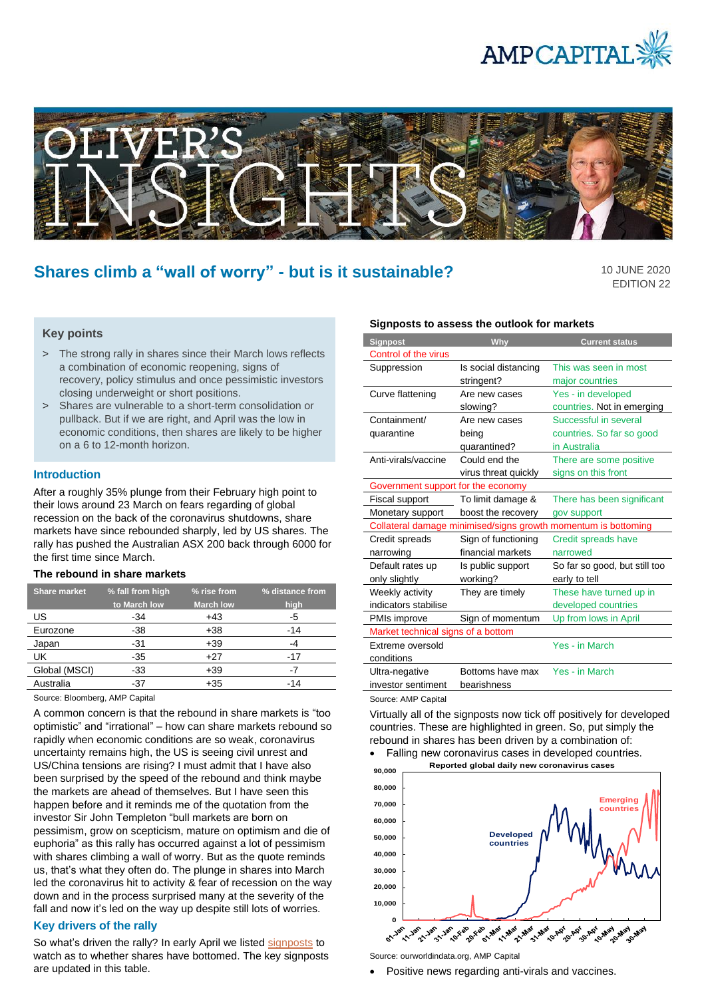



# **Shares climb a "wall of worry" - but is it sustainable?**

10 JUNE 2020 EDITION 22

## **Key points**

- > The strong rally in shares since their March lows reflects a combination of economic reopening, signs of recovery, policy stimulus and once pessimistic investors closing underweight or short positions.
- > Shares are vulnerable to a short-term consolidation or pullback. But if we are right, and April was the low in economic conditions, then shares are likely to be higher on a 6 to 12-month horizon.

#### **Introduction**

After a roughly 35% plunge from their February high point to their lows around 23 March on fears regarding of global recession on the back of the coronavirus shutdowns, share markets have since rebounded sharply, led by US shares. The rally has pushed the Australian ASX 200 back through 6000 for the first time since March.

#### **The rebound in share markets**

| <b>Share market</b> | % fall from high | % rise from      | % distance from |
|---------------------|------------------|------------------|-----------------|
|                     | to March low     | <b>March low</b> | high            |
| US                  | -34              | $+43$            | -5              |
| Eurozone            | -38              | $+38$            | $-14$           |
| Japan               | $-31$            | $+39$            | -4              |
| UK                  | -35              | $+27$            | $-17$           |
| Global (MSCI)       | -33              | $+39$            | -7              |
| Australia           | -37              | +35              | -14             |

Source: Bloomberg, AMP Capital

A common concern is that the rebound in share markets is "too optimistic" and "irrational" – how can share markets rebound so rapidly when economic conditions are so weak, coronavirus uncertainty remains high, the US is seeing civil unrest and US/China tensions are rising? I must admit that I have also been surprised by the speed of the rebound and think maybe the markets are ahead of themselves. But I have seen this happen before and it reminds me of the quotation from the investor Sir John Templeton "bull markets are born on pessimism, grow on scepticism, mature on optimism and die of euphoria" as this rally has occurred against a lot of pessimism with shares climbing a wall of worry. But as the quote reminds us, that's what they often do. The plunge in shares into March led the coronavirus hit to activity & fear of recession on the way down and in the process surprised many at the severity of the fall and now it's led on the way up despite still lots of worries.

#### **Key drivers of the rally**

So what's driven the rally? In early April we listed [signposts](https://www.ampcapital.com/au/en/insights-hub/articles/2020/april/what-signposts-can-we-watch-to-be-confident-shares-have-bottomed) to watch as to whether shares have bottomed. The key signposts are updated in this table.

#### **Signposts to assess the outlook for markets**

| <b>Signpost</b>                                                | Why                  | <b>Current status</b>         |  |  |
|----------------------------------------------------------------|----------------------|-------------------------------|--|--|
| Control of the virus                                           |                      |                               |  |  |
| Suppression                                                    | Is social distancing | This was seen in most         |  |  |
|                                                                | stringent?           | major countries               |  |  |
| Curve flattening                                               | Are new cases        | Yes - in developed            |  |  |
|                                                                | slowing?             | countries. Not in emerging    |  |  |
| Containment/                                                   | Are new cases        | Successful in several         |  |  |
| quarantine                                                     | being                | countries. So far so good     |  |  |
|                                                                | quarantined?         | in Australia                  |  |  |
| Anti-virals/vaccine                                            | Could end the        | There are some positive       |  |  |
|                                                                | virus threat quickly | signs on this front           |  |  |
| Government support for the economy                             |                      |                               |  |  |
| Fiscal support                                                 | To limit damage &    | There has been significant    |  |  |
| Monetary support                                               | boost the recovery   | gov support                   |  |  |
| Collateral damage minimised/signs growth momentum is bottoming |                      |                               |  |  |
| Credit spreads                                                 | Sign of functioning  | Credit spreads have           |  |  |
| narrowing                                                      | financial markets    | narrowed                      |  |  |
| Default rates up                                               | Is public support    | So far so good, but still too |  |  |
| only slightly                                                  | working?             | early to tell                 |  |  |
| Weekly activity                                                | They are timely      | These have turned up in       |  |  |
| indicators stabilise                                           |                      | developed countries           |  |  |
| PMIs improve                                                   | Sign of momentum     | Up from lows in April         |  |  |
| Market technical signs of a bottom                             |                      |                               |  |  |
| Extreme oversold                                               |                      | Yes - in March                |  |  |
| conditions                                                     |                      |                               |  |  |
| Ultra-negative                                                 | Bottoms have max     | Yes - in March                |  |  |
| investor sentiment                                             | bearishness          |                               |  |  |

Source: AMP Capital

Virtually all of the signposts now tick off positively for developed countries. These are highlighted in green. So, put simply the rebound in shares has been driven by a combination of:





Source: ourworldindata.org, AMP Capital

• Positive news regarding anti-virals and vaccines.